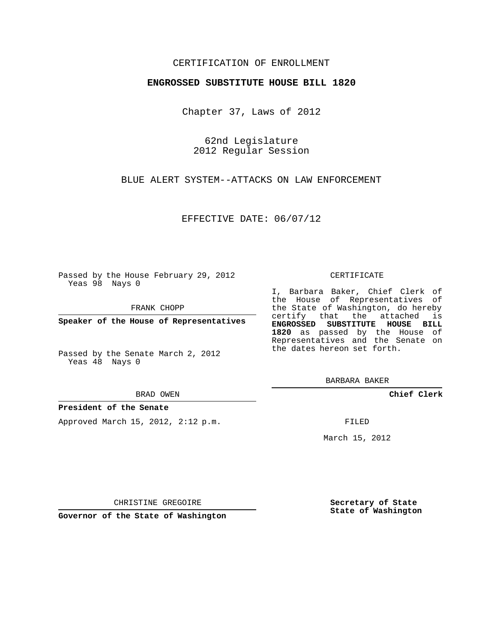## CERTIFICATION OF ENROLLMENT

### **ENGROSSED SUBSTITUTE HOUSE BILL 1820**

Chapter 37, Laws of 2012

62nd Legislature 2012 Regular Session

BLUE ALERT SYSTEM--ATTACKS ON LAW ENFORCEMENT

EFFECTIVE DATE: 06/07/12

Passed by the House February 29, 2012 Yeas 98 Nays 0

FRANK CHOPP

**Speaker of the House of Representatives**

Passed by the Senate March 2, 2012 Yeas 48 Nays 0

#### BRAD OWEN

### **President of the Senate**

Approved March 15, 2012, 2:12 p.m.

#### CERTIFICATE

I, Barbara Baker, Chief Clerk of the House of Representatives of the State of Washington, do hereby certify that the attached is **ENGROSSED SUBSTITUTE HOUSE BILL 1820** as passed by the House of Representatives and the Senate on the dates hereon set forth.

BARBARA BAKER

**Chief Clerk**

FILED

March 15, 2012

CHRISTINE GREGOIRE

**Governor of the State of Washington**

**Secretary of State State of Washington**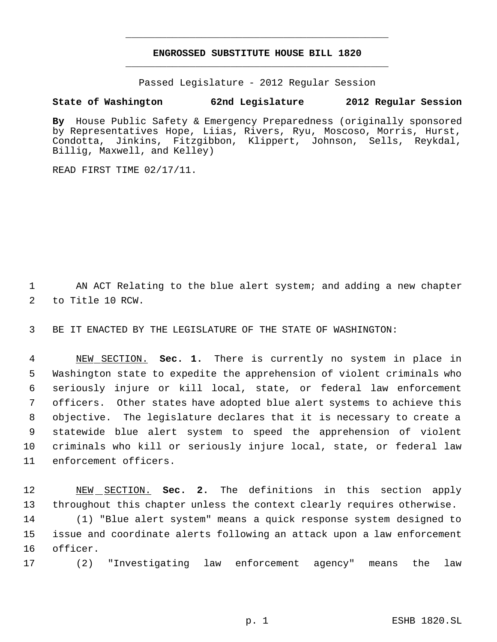# **ENGROSSED SUBSTITUTE HOUSE BILL 1820** \_\_\_\_\_\_\_\_\_\_\_\_\_\_\_\_\_\_\_\_\_\_\_\_\_\_\_\_\_\_\_\_\_\_\_\_\_\_\_\_\_\_\_\_\_

\_\_\_\_\_\_\_\_\_\_\_\_\_\_\_\_\_\_\_\_\_\_\_\_\_\_\_\_\_\_\_\_\_\_\_\_\_\_\_\_\_\_\_\_\_

Passed Legislature - 2012 Regular Session

# **State of Washington 62nd Legislature 2012 Regular Session**

**By** House Public Safety & Emergency Preparedness (originally sponsored by Representatives Hope, Liias, Rivers, Ryu, Moscoso, Morris, Hurst, Condotta, Jinkins, Fitzgibbon, Klippert, Johnson, Sells, Reykdal, Billig, Maxwell, and Kelley)

READ FIRST TIME 02/17/11.

1 AN ACT Relating to the blue alert system; and adding a new chapter 2 to Title 10 RCW.

3 BE IT ENACTED BY THE LEGISLATURE OF THE STATE OF WASHINGTON:

 NEW SECTION. **Sec. 1.** There is currently no system in place in Washington state to expedite the apprehension of violent criminals who seriously injure or kill local, state, or federal law enforcement officers. Other states have adopted blue alert systems to achieve this objective. The legislature declares that it is necessary to create a statewide blue alert system to speed the apprehension of violent criminals who kill or seriously injure local, state, or federal law enforcement officers.

 NEW SECTION. **Sec. 2.** The definitions in this section apply throughout this chapter unless the context clearly requires otherwise. (1) "Blue alert system" means a quick response system designed to issue and coordinate alerts following an attack upon a law enforcement 16 officer.

17 (2) "Investigating law enforcement agency" means the law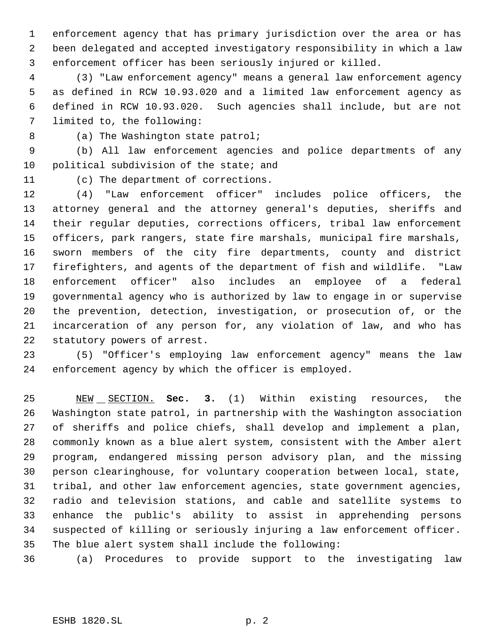enforcement agency that has primary jurisdiction over the area or has been delegated and accepted investigatory responsibility in which a law enforcement officer has been seriously injured or killed.

 (3) "Law enforcement agency" means a general law enforcement agency as defined in RCW 10.93.020 and a limited law enforcement agency as defined in RCW 10.93.020. Such agencies shall include, but are not limited to, the following:

8 (a) The Washington state patrol;

 (b) All law enforcement agencies and police departments of any 10 political subdivision of the state; and

(c) The department of corrections.

 (4) "Law enforcement officer" includes police officers, the attorney general and the attorney general's deputies, sheriffs and their regular deputies, corrections officers, tribal law enforcement officers, park rangers, state fire marshals, municipal fire marshals, sworn members of the city fire departments, county and district firefighters, and agents of the department of fish and wildlife. "Law enforcement officer" also includes an employee of a federal governmental agency who is authorized by law to engage in or supervise the prevention, detection, investigation, or prosecution of, or the incarceration of any person for, any violation of law, and who has statutory powers of arrest.

 (5) "Officer's employing law enforcement agency" means the law enforcement agency by which the officer is employed.

 NEW SECTION. **Sec. 3.** (1) Within existing resources, the Washington state patrol, in partnership with the Washington association of sheriffs and police chiefs, shall develop and implement a plan, commonly known as a blue alert system, consistent with the Amber alert program, endangered missing person advisory plan, and the missing person clearinghouse, for voluntary cooperation between local, state, tribal, and other law enforcement agencies, state government agencies, radio and television stations, and cable and satellite systems to enhance the public's ability to assist in apprehending persons suspected of killing or seriously injuring a law enforcement officer. The blue alert system shall include the following:

(a) Procedures to provide support to the investigating law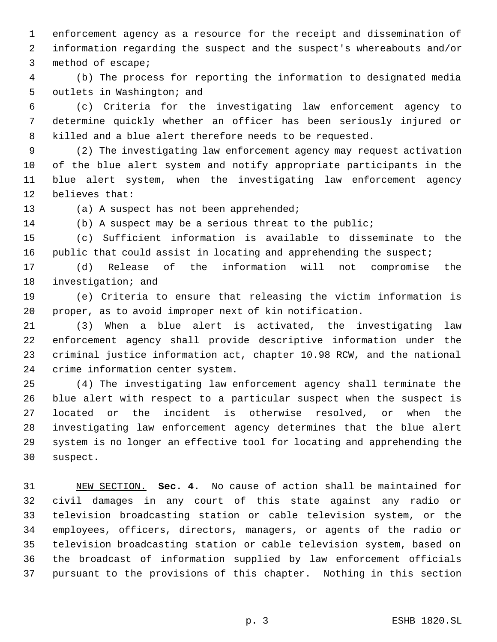enforcement agency as a resource for the receipt and dissemination of information regarding the suspect and the suspect's whereabouts and/or method of escape;

 (b) The process for reporting the information to designated media outlets in Washington; and

 (c) Criteria for the investigating law enforcement agency to determine quickly whether an officer has been seriously injured or killed and a blue alert therefore needs to be requested.

 (2) The investigating law enforcement agency may request activation of the blue alert system and notify appropriate participants in the blue alert system, when the investigating law enforcement agency believes that:

13 (a) A suspect has not been apprehended;

(b) A suspect may be a serious threat to the public;

 (c) Sufficient information is available to disseminate to the public that could assist in locating and apprehending the suspect;

 (d) Release of the information will not compromise the investigation; and

 (e) Criteria to ensure that releasing the victim information is proper, as to avoid improper next of kin notification.

 (3) When a blue alert is activated, the investigating law enforcement agency shall provide descriptive information under the criminal justice information act, chapter 10.98 RCW, and the national crime information center system.

 (4) The investigating law enforcement agency shall terminate the blue alert with respect to a particular suspect when the suspect is located or the incident is otherwise resolved, or when the investigating law enforcement agency determines that the blue alert system is no longer an effective tool for locating and apprehending the suspect.

 NEW SECTION. **Sec. 4.** No cause of action shall be maintained for civil damages in any court of this state against any radio or television broadcasting station or cable television system, or the employees, officers, directors, managers, or agents of the radio or television broadcasting station or cable television system, based on the broadcast of information supplied by law enforcement officials pursuant to the provisions of this chapter. Nothing in this section